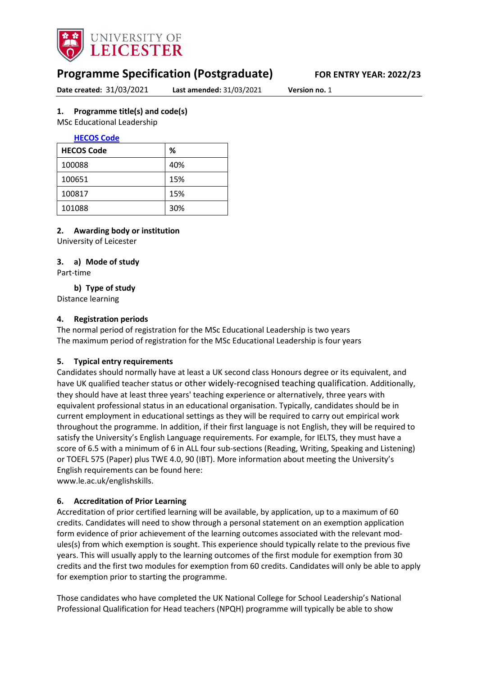

# **Programme Specification (Postgraduate) FOR ENTRY YEAR: 2022/23**

<span id="page-0-0"></span>**Date created:** 31/03/2021 **Last amended:** 31/03/2021 **Version no.** 1

### **1. Programme title(s) and code(s)**

MSc Educational Leadership

### **[HECOS Code](https://www.hesa.ac.uk/innovation/hecos)**

| <b>HECOS Code</b> | %   |
|-------------------|-----|
| 100088            | 40% |
| 100651            | 15% |
| 100817            | 15% |
| 101088            | 30% |

### **2. Awarding body or institution**

University of Leicester

### **3. a) Mode of study**

Part-time

**b) Type of study**

Distance learning

### **4. Registration periods**

The normal period of registration for the MSc Educational Leadership is two years The maximum period of registration for the MSc Educational Leadership is four years

### **5. Typical entry requirements**

Candidates should normally have at least a UK second class Honours degree or its equivalent, and have UK qualified teacher status or other widely-recognised teaching qualification. Additionally, they should have at least three years' teaching experience or alternatively, three years with equivalent professional status in an educational organisation. Typically, candidates should be in current employment in educational settings as they will be required to carry out empirical work throughout the programme. In addition, if their first language is not English, they will be required to satisfy the University's English Language requirements. For example, for IELTS, they must have a score of 6.5 with a minimum of 6 in ALL four sub-sections (Reading, Writing, Speaking and Listening) or TOEFL 575 (Paper) plus TWE 4.0, 90 (IBT). More information about meeting the University's English requirements can be found here:

www.le.ac.uk/englishskills.

### **6. Accreditation of Prior Learning**

Accreditation of prior certified learning will be available, by application, up to a maximum of 60 credits. Candidates will need to show through a personal statement on an exemption application form evidence of prior achievement of the learning outcomes associated with the relevant modules(s) from which exemption is sought. This experience should typically relate to the previous five years. This will usually apply to the learning outcomes of the first module for exemption from 30 credits and the first two modules for exemption from 60 credits. Candidates will only be able to apply for exemption prior to starting the programme.

Those candidates who have completed the UK National College for School Leadership's National Professional Qualification for Head teachers (NPQH) programme will typically be able to show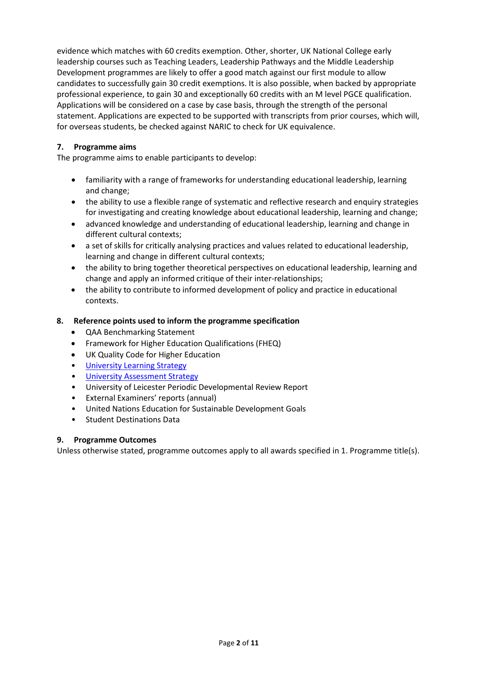evidence which matches with 60 credits exemption. Other, shorter, UK National College early leadership courses such as Teaching Leaders, Leadership Pathways and the Middle Leadership Development programmes are likely to offer a good match against our first module to allow candidates to successfully gain 30 credit exemptions. It is also possible, when backed by appropriate professional experience, to gain 30 and exceptionally 60 credits with an M level PGCE qualification. Applications will be considered on a case by case basis, through the strength of the personal statement. Applications are expected to be supported with transcripts from prior courses, which will, for overseas students, be checked against NARIC to check for UK equivalence.

### **7. Programme aims**

The programme aims to enable participants to develop:

- familiarity with a range of frameworks for understanding educational leadership, learning and change;
- the ability to use a flexible range of systematic and reflective research and enquiry strategies for investigating and creating knowledge about educational leadership, learning and change;
- advanced knowledge and understanding of educational leadership, learning and change in different cultural contexts;
- a set of skills for critically analysing practices and values related to educational leadership, learning and change in different cultural contexts;
- the ability to bring together theoretical perspectives on educational leadership, learning and change and apply an informed critique of their inter-relationships;
- the ability to contribute to informed development of policy and practice in educational contexts.

### **8. Reference points used to inform the programme specification**

- QAA Benchmarking Statement
- Framework for Higher Education Qualifications (FHEQ)
- UK Quality Code for Higher Education
- [University Learning](https://www2.le.ac.uk/offices/sas2/quality/learnteach) Strategy
- [University Assessment Strategy](https://www2.le.ac.uk/offices/sas2/quality/learnteach)
- University of Leicester Periodic Developmental Review Report
- External Examiners' reports (annual)
- United Nations Education for Sustainable Development Goals
- Student Destinations Data

#### **9. Programme Outcomes**

Unless otherwise stated, programme outcomes apply to all awards specified in [1.](#page-0-0) Programme title(s).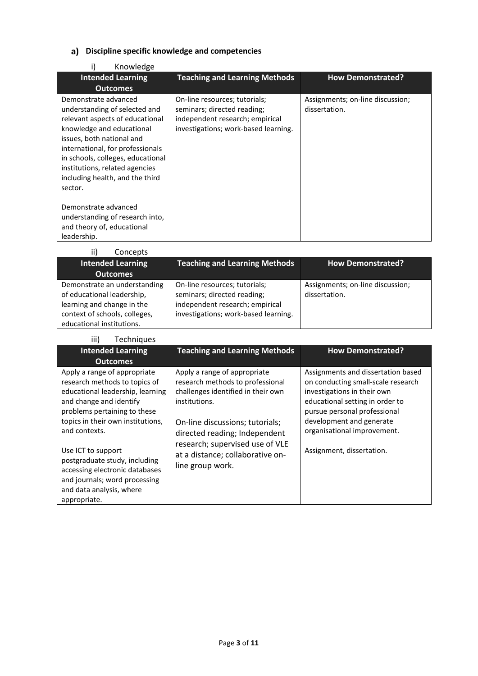# **Discipline specific knowledge and competencies**

| Knowledge                                                                                                                                                                                                                                                                                                   |                                                                                                                                         |                                                   |
|-------------------------------------------------------------------------------------------------------------------------------------------------------------------------------------------------------------------------------------------------------------------------------------------------------------|-----------------------------------------------------------------------------------------------------------------------------------------|---------------------------------------------------|
| <b>Intended Learning</b>                                                                                                                                                                                                                                                                                    | <b>Teaching and Learning Methods</b>                                                                                                    | <b>How Demonstrated?</b>                          |
| <b>Outcomes</b>                                                                                                                                                                                                                                                                                             |                                                                                                                                         |                                                   |
| Demonstrate advanced<br>understanding of selected and<br>relevant aspects of educational<br>knowledge and educational<br>issues, both national and<br>international, for professionals<br>in schools, colleges, educational<br>institutions, related agencies<br>including health, and the third<br>sector. | On-line resources; tutorials;<br>seminars; directed reading;<br>independent research; empirical<br>investigations; work-based learning. | Assignments; on-line discussion;<br>dissertation. |
| Demonstrate advanced<br>understanding of research into,                                                                                                                                                                                                                                                     |                                                                                                                                         |                                                   |
| and theory of, educational                                                                                                                                                                                                                                                                                  |                                                                                                                                         |                                                   |
| leadership.                                                                                                                                                                                                                                                                                                 |                                                                                                                                         |                                                   |

| ii)<br>Concepts                                                                                                                                        |                                                                                                                                         |                                                   |
|--------------------------------------------------------------------------------------------------------------------------------------------------------|-----------------------------------------------------------------------------------------------------------------------------------------|---------------------------------------------------|
| <b>Intended Learning</b>                                                                                                                               | <b>Teaching and Learning Methods</b>                                                                                                    | <b>How Demonstrated?</b>                          |
| <b>Outcomes</b>                                                                                                                                        |                                                                                                                                         |                                                   |
| Demonstrate an understanding<br>of educational leadership,<br>learning and change in the<br>context of schools, colleges,<br>educational institutions. | On-line resources; tutorials;<br>seminars; directed reading;<br>independent research; empirical<br>investigations; work-based learning. | Assignments; on-line discussion;<br>dissertation. |

| iii)<br><b>Techniques</b>                                                                                                                                                                                                                                                                                                                                                                |                                                                                                                                                                                                                                                                                        |                                                                                                                                                                                                                                                                    |
|------------------------------------------------------------------------------------------------------------------------------------------------------------------------------------------------------------------------------------------------------------------------------------------------------------------------------------------------------------------------------------------|----------------------------------------------------------------------------------------------------------------------------------------------------------------------------------------------------------------------------------------------------------------------------------------|--------------------------------------------------------------------------------------------------------------------------------------------------------------------------------------------------------------------------------------------------------------------|
| <b>Intended Learning</b><br><b>Outcomes</b>                                                                                                                                                                                                                                                                                                                                              | <b>Teaching and Learning Methods</b>                                                                                                                                                                                                                                                   | <b>How Demonstrated?</b>                                                                                                                                                                                                                                           |
| Apply a range of appropriate<br>research methods to topics of<br>educational leadership, learning<br>and change and identify<br>problems pertaining to these<br>topics in their own institutions,<br>and contexts.<br>Use ICT to support<br>postgraduate study, including<br>accessing electronic databases<br>and journals; word processing<br>and data analysis, where<br>appropriate. | Apply a range of appropriate<br>research methods to professional<br>challenges identified in their own<br>institutions.<br>On-line discussions; tutorials;<br>directed reading; Independent<br>research; supervised use of VLE<br>at a distance; collaborative on-<br>line group work. | Assignments and dissertation based<br>on conducting small-scale research<br>investigations in their own<br>educational setting in order to<br>pursue personal professional<br>development and generate<br>organisational improvement.<br>Assignment, dissertation. |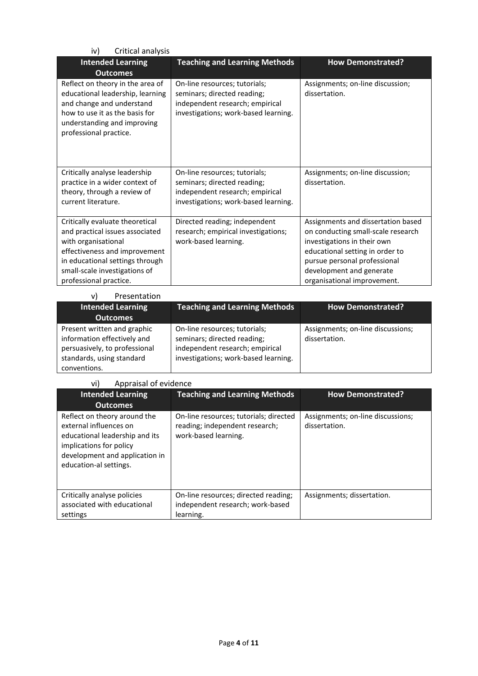| Critical analysis<br>iv)                                                                                                                                                                                                 |                                                                                                                                         |                                                                                                                                                                                                                                       |
|--------------------------------------------------------------------------------------------------------------------------------------------------------------------------------------------------------------------------|-----------------------------------------------------------------------------------------------------------------------------------------|---------------------------------------------------------------------------------------------------------------------------------------------------------------------------------------------------------------------------------------|
| <b>Intended Learning</b><br><b>Outcomes</b>                                                                                                                                                                              | <b>Teaching and Learning Methods</b>                                                                                                    | <b>How Demonstrated?</b>                                                                                                                                                                                                              |
| Reflect on theory in the area of<br>educational leadership, learning<br>and change and understand<br>how to use it as the basis for<br>understanding and improving<br>professional practice.                             | On-line resources; tutorials;<br>seminars; directed reading;<br>independent research; empirical<br>investigations; work-based learning. | Assignments; on-line discussion;<br>dissertation.                                                                                                                                                                                     |
| Critically analyse leadership<br>practice in a wider context of<br>theory, through a review of<br>current literature.                                                                                                    | On-line resources; tutorials;<br>seminars; directed reading;<br>independent research; empirical<br>investigations; work-based learning. | Assignments; on-line discussion;<br>dissertation.                                                                                                                                                                                     |
| Critically evaluate theoretical<br>and practical issues associated<br>with organisational<br>effectiveness and improvement<br>in educational settings through<br>small-scale investigations of<br>professional practice. | Directed reading; independent<br>research; empirical investigations;<br>work-based learning.                                            | Assignments and dissertation based<br>on conducting small-scale research<br>investigations in their own<br>educational setting in order to<br>pursue personal professional<br>development and generate<br>organisational improvement. |

| <b>Teaching and Learning Methods</b>                                                                                                    |                                                    |
|-----------------------------------------------------------------------------------------------------------------------------------------|----------------------------------------------------|
|                                                                                                                                         | <b>How Demonstrated?</b>                           |
|                                                                                                                                         |                                                    |
| On-line resources; tutorials;<br>seminars; directed reading;<br>independent research; empirical<br>investigations; work-based learning. | Assignments; on-line discussions;<br>dissertation. |
|                                                                                                                                         |                                                    |

#### vi) Appraisal of evidence

| <b>Intended Learning</b><br><b>Outcomes</b>                                                                                                                                     | <b>Teaching and Learning Methods</b>                                                             | <b>How Demonstrated?</b>                           |
|---------------------------------------------------------------------------------------------------------------------------------------------------------------------------------|--------------------------------------------------------------------------------------------------|----------------------------------------------------|
| Reflect on theory around the<br>external influences on<br>educational leadership and its<br>implications for policy<br>development and application in<br>education-al settings. | On-line resources; tutorials; directed<br>reading; independent research;<br>work-based learning. | Assignments; on-line discussions;<br>dissertation. |
| Critically analyse policies<br>associated with educational<br>settings                                                                                                          | On-line resources; directed reading;<br>independent research; work-based<br>learning.            | Assignments; dissertation.                         |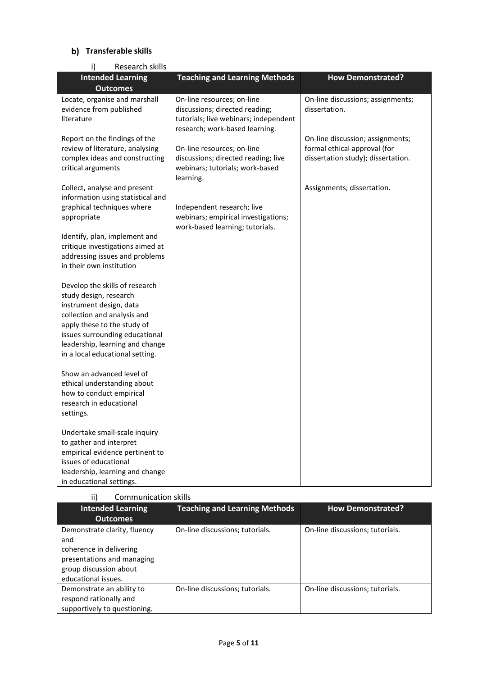# **Transferable skills**

| Research skills<br>i)                                                                                                                                                                                                                                     |                                                                                                                                         |                                                                                                        |
|-----------------------------------------------------------------------------------------------------------------------------------------------------------------------------------------------------------------------------------------------------------|-----------------------------------------------------------------------------------------------------------------------------------------|--------------------------------------------------------------------------------------------------------|
| <b>Intended Learning</b>                                                                                                                                                                                                                                  | <b>Teaching and Learning Methods</b>                                                                                                    | <b>How Demonstrated?</b>                                                                               |
| <b>Outcomes</b>                                                                                                                                                                                                                                           |                                                                                                                                         |                                                                                                        |
| Locate, organise and marshall<br>evidence from published<br>literature                                                                                                                                                                                    | On-line resources; on-line<br>discussions; directed reading;<br>tutorials; live webinars; independent<br>research; work-based learning. | On-line discussions; assignments;<br>dissertation.                                                     |
| Report on the findings of the<br>review of literature, analysing<br>complex ideas and constructing<br>critical arguments                                                                                                                                  | On-line resources; on-line<br>discussions; directed reading; live<br>webinars; tutorials; work-based<br>learning.                       | On-line discussion; assignments;<br>formal ethical approval (for<br>dissertation study); dissertation. |
| Collect, analyse and present<br>information using statistical and<br>graphical techniques where<br>appropriate                                                                                                                                            | Independent research; live<br>webinars; empirical investigations;<br>work-based learning; tutorials.                                    | Assignments; dissertation.                                                                             |
| Identify, plan, implement and<br>critique investigations aimed at<br>addressing issues and problems<br>in their own institution                                                                                                                           |                                                                                                                                         |                                                                                                        |
| Develop the skills of research<br>study design, research<br>instrument design, data<br>collection and analysis and<br>apply these to the study of<br>issues surrounding educational<br>leadership, learning and change<br>in a local educational setting. |                                                                                                                                         |                                                                                                        |
| Show an advanced level of<br>ethical understanding about<br>how to conduct empirical<br>research in educational<br>settings.                                                                                                                              |                                                                                                                                         |                                                                                                        |
| Undertake small-scale inquiry<br>to gather and interpret<br>empirical evidence pertinent to<br>issues of educational<br>leadership, learning and change<br>in educational settings.                                                                       |                                                                                                                                         |                                                                                                        |

#### ii) Communication skills

| <b>Intended Learning</b>     | <b>Teaching and Learning Methods</b> | <b>How Demonstrated?</b>        |
|------------------------------|--------------------------------------|---------------------------------|
| <b>Outcomes</b>              |                                      |                                 |
| Demonstrate clarity, fluency | On-line discussions; tutorials.      | On-line discussions; tutorials. |
| and                          |                                      |                                 |
| coherence in delivering      |                                      |                                 |
| presentations and managing   |                                      |                                 |
| group discussion about       |                                      |                                 |
| educational issues.          |                                      |                                 |
| Demonstrate an ability to    | On-line discussions; tutorials.      | On-line discussions; tutorials. |
| respond rationally and       |                                      |                                 |
| supportively to questioning. |                                      |                                 |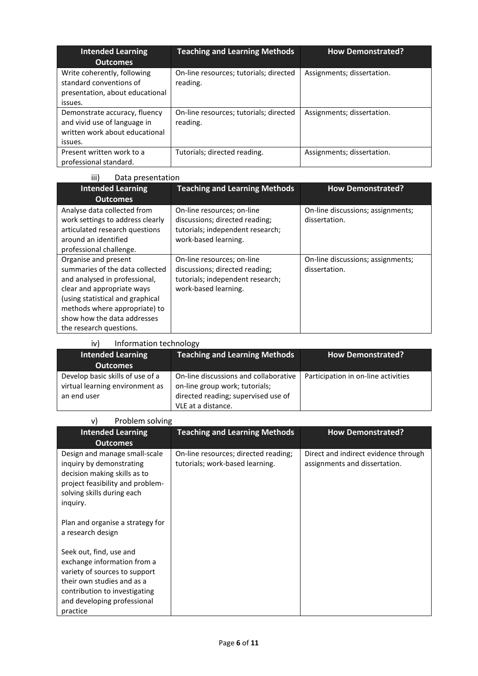| <b>Intended Learning</b><br><b>Outcomes</b>                                                                | <b>Teaching and Learning Methods</b>               | <b>How Demonstrated?</b>   |
|------------------------------------------------------------------------------------------------------------|----------------------------------------------------|----------------------------|
| Write coherently, following<br>standard conventions of<br>presentation, about educational<br>issues.       | On-line resources; tutorials; directed<br>reading. | Assignments; dissertation. |
| Demonstrate accuracy, fluency<br>and vivid use of language in<br>written work about educational<br>issues. | On-line resources; tutorials; directed<br>reading. | Assignments; dissertation. |
| Present written work to a<br>professional standard.                                                        | Tutorials; directed reading.                       | Assignments; dissertation. |

| iii)<br>Data presentation                                                                                                                                                                                                                             |                                                                                                                          |                                                    |
|-------------------------------------------------------------------------------------------------------------------------------------------------------------------------------------------------------------------------------------------------------|--------------------------------------------------------------------------------------------------------------------------|----------------------------------------------------|
| <b>Intended Learning</b>                                                                                                                                                                                                                              | <b>Teaching and Learning Methods</b>                                                                                     | <b>How Demonstrated?</b>                           |
| <b>Outcomes</b>                                                                                                                                                                                                                                       |                                                                                                                          |                                                    |
| Analyse data collected from<br>work settings to address clearly<br>articulated research questions<br>around an identified<br>professional challenge.                                                                                                  | On-line resources; on-line<br>discussions; directed reading;<br>tutorials; independent research;<br>work-based learning. | On-line discussions; assignments;<br>dissertation. |
| Organise and present<br>summaries of the data collected<br>and analysed in professional,<br>clear and appropriate ways<br>(using statistical and graphical<br>methods where appropriate) to<br>show how the data addresses<br>the research questions. | On-line resources; on-line<br>discussions; directed reading;<br>tutorials; independent research;<br>work-based learning. | On-line discussions; assignments;<br>dissertation. |

| Information technology<br>iv)                                                      |                                                                                                                                      |                                     |
|------------------------------------------------------------------------------------|--------------------------------------------------------------------------------------------------------------------------------------|-------------------------------------|
| <b>Intended Learning</b>                                                           | <b>Teaching and Learning Methods</b>                                                                                                 | <b>How Demonstrated?</b>            |
| <b>Outcomes</b>                                                                    |                                                                                                                                      |                                     |
| Develop basic skills of use of a<br>virtual learning environment as<br>an end user | On-line discussions and collaborative<br>on-line group work; tutorials;<br>directed reading; supervised use of<br>VLE at a distance. | Participation in on-line activities |

| Problem solving<br>v)                                                                                                                                                                             |                                                                         |                                                                       |  |
|---------------------------------------------------------------------------------------------------------------------------------------------------------------------------------------------------|-------------------------------------------------------------------------|-----------------------------------------------------------------------|--|
| <b>Intended Learning</b><br><b>Outcomes</b>                                                                                                                                                       | <b>Teaching and Learning Methods</b>                                    | <b>How Demonstrated?</b>                                              |  |
| Design and manage small-scale<br>inquiry by demonstrating<br>decision making skills as to<br>project feasibility and problem-<br>solving skills during each<br>inquiry.                           | On-line resources; directed reading;<br>tutorials; work-based learning. | Direct and indirect evidence through<br>assignments and dissertation. |  |
| Plan and organise a strategy for<br>a research design                                                                                                                                             |                                                                         |                                                                       |  |
| Seek out, find, use and<br>exchange information from a<br>variety of sources to support<br>their own studies and as a<br>contribution to investigating<br>and developing professional<br>practice |                                                                         |                                                                       |  |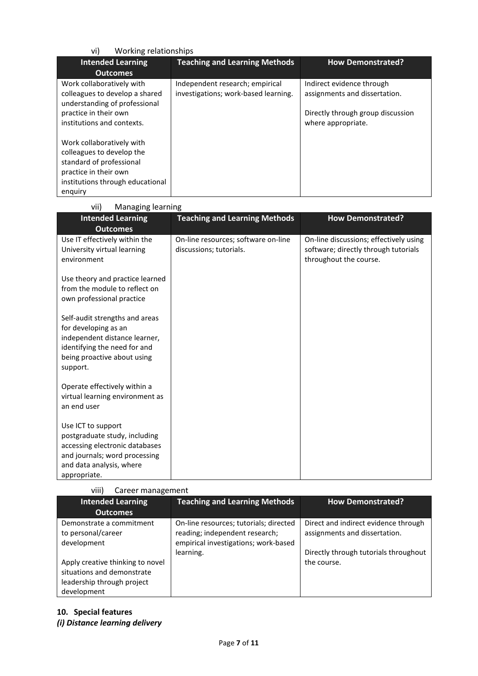| Working relationships<br>vi)                                                                                                                               |                                                                         |                                                                                                                       |  |
|------------------------------------------------------------------------------------------------------------------------------------------------------------|-------------------------------------------------------------------------|-----------------------------------------------------------------------------------------------------------------------|--|
| <b>Intended Learning</b>                                                                                                                                   | <b>Teaching and Learning Methods</b>                                    | <b>How Demonstrated?</b>                                                                                              |  |
| <b>Outcomes</b>                                                                                                                                            |                                                                         |                                                                                                                       |  |
| Work collaboratively with<br>colleagues to develop a shared<br>understanding of professional<br>practice in their own<br>institutions and contexts.        | Independent research; empirical<br>investigations; work-based learning. | Indirect evidence through<br>assignments and dissertation.<br>Directly through group discussion<br>where appropriate. |  |
| Work collaboratively with<br>colleagues to develop the<br>standard of professional<br>practice in their own<br>institutions through educational<br>enguiry |                                                                         |                                                                                                                       |  |

vii) Managing learning

| <b>Intended Learning</b>                                                                                    | <b>Teaching and Learning Methods</b>                           | <b>How Demonstrated?</b>                                                       |
|-------------------------------------------------------------------------------------------------------------|----------------------------------------------------------------|--------------------------------------------------------------------------------|
| <b>Outcomes</b>                                                                                             |                                                                |                                                                                |
| Use IT effectively within the<br>University virtual learning                                                | On-line resources; software on-line<br>discussions; tutorials. | On-line discussions; effectively using<br>software; directly through tutorials |
| environment                                                                                                 |                                                                | throughout the course.                                                         |
| Use theory and practice learned                                                                             |                                                                |                                                                                |
| from the module to reflect on                                                                               |                                                                |                                                                                |
| own professional practice                                                                                   |                                                                |                                                                                |
| Self-audit strengths and areas                                                                              |                                                                |                                                                                |
| for developing as an<br>independent distance learner,                                                       |                                                                |                                                                                |
| identifying the need for and                                                                                |                                                                |                                                                                |
| being proactive about using                                                                                 |                                                                |                                                                                |
| support.                                                                                                    |                                                                |                                                                                |
| Operate effectively within a                                                                                |                                                                |                                                                                |
| virtual learning environment as                                                                             |                                                                |                                                                                |
| an end user                                                                                                 |                                                                |                                                                                |
| Use ICT to support                                                                                          |                                                                |                                                                                |
| postgraduate study, including                                                                               |                                                                |                                                                                |
|                                                                                                             |                                                                |                                                                                |
|                                                                                                             |                                                                |                                                                                |
|                                                                                                             |                                                                |                                                                                |
| accessing electronic databases<br>and journals; word processing<br>and data analysis, where<br>appropriate. |                                                                |                                                                                |

| viii) | Career management |
|-------|-------------------|
|       |                   |

| <b>Intended Learning</b>                                                                                    | <b>Teaching and Learning Methods</b>                                                                             | <b>How Demonstrated?</b>                                              |
|-------------------------------------------------------------------------------------------------------------|------------------------------------------------------------------------------------------------------------------|-----------------------------------------------------------------------|
| <b>Outcomes</b>                                                                                             |                                                                                                                  |                                                                       |
| Demonstrate a commitment<br>to personal/career<br>development                                               | On-line resources; tutorials; directed<br>reading; independent research;<br>empirical investigations; work-based | Direct and indirect evidence through<br>assignments and dissertation. |
| Apply creative thinking to novel<br>situations and demonstrate<br>leadership through project<br>development | learning.                                                                                                        | Directly through tutorials throughout<br>the course.                  |

## **10. Special features** *(i) Distance learning delivery*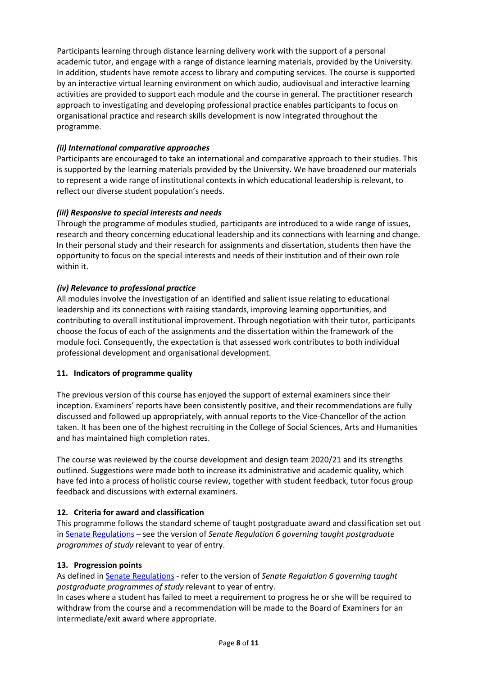Participants learning through distance learning delivery work with the support of a personal academic tutor, and engage with a range of distance learning materials, provided by the University. In addition, students have remote access to library and computing services. The course is supported by an interactive virtual learning environment on which audio, audiovisual and interactive learning activities are provided to support each module and the course in general. The practitioner research approach to investigating and developing professional practice enables participants to focus on organisational practice and research skills development is now integrated throughout the programme.

### *(ii) International comparative approaches*

Participants are encouraged to take an international and comparative approach to their studies. This is supported by the learning materials provided by the University. We have broadened our materials to represent a wide range of institutional contexts in which educational leadership is relevant, to reflect our diverse student population's needs.

### *(iii) Responsive to special interests and needs*

Through the programme of modules studied, participants are introduced to a wide range of issues, research and theory concerning educational leadership and its connections with learning and change. In their personal study and their research for assignments and dissertation, students then have the opportunity to focus on the special interests and needs of their institution and of their own role within it.

## *(iv) Relevance to professional practice*

All modules involve the investigation of an identified and salient issue relating to educational leadership and its connections with raising standards, improving learning opportunities, and contributing to overall institutional improvement. Through negotiation with their tutor, participants choose the focus of each of the assignments and the dissertation within the framework of the module foci. Consequently, the expectation is that assessed work contributes to both individual professional development and organisational development.

### **11. Indicators of programme quality**

The previous version of this course has enjoyed the support of external examiners since their inception. Examiners' reports have been consistently positive, and their recommendations are fully discussed and followed up appropriately, with annual reports to the Vice-Chancellor of the action taken. It has been one of the highest recruiting in the College of Social Sciences, Arts and Humanities and has maintained high completion rates.

The course was reviewed by the course development and design team 2020/21 and its strengths outlined. Suggestions were made both to increase its administrative and academic quality, which have fed into a process of holistic course review, together with student feedback, tutor focus group feedback and discussions with external examiners.

### **12. Criteria for award and classification**

This programme follows the standard scheme of taught postgraduate award and classification set out i[n Senate Regulations](http://www.le.ac.uk/senate-regulations) – see the version of *Senate Regulation 6 governing taught postgraduate programmes of study* relevant to year of entry.

### **13. Progression points**

As defined i[n Senate Regulations](http://www.le.ac.uk/senate-regulation6) - refer to the version of *Senate Regulation 6 governing taught postgraduate programmes of study* relevant to year of entry.

In cases where a student has failed to meet a requirement to progress he or she will be required to withdraw from the course and a recommendation will be made to the Board of Examiners for an intermediate/exit award where appropriate.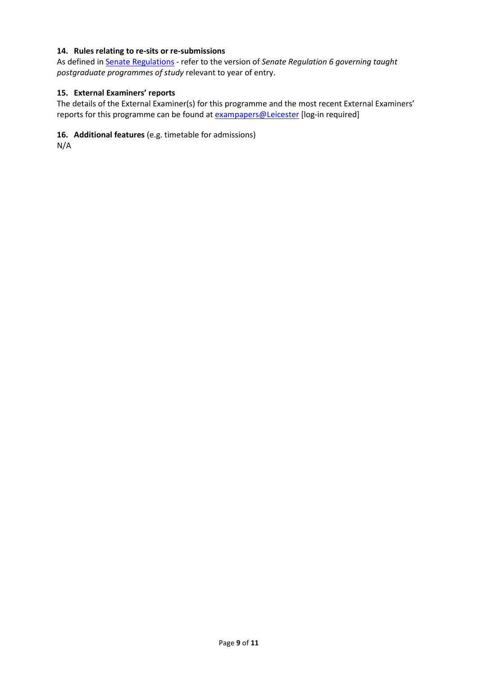### **14. Rules relating to re-sits or re-submissions**

As defined i[n Senate Regulations](http://www.le.ac.uk/senate-regulation6) - refer to the version of *Senate Regulation 6 governing taught postgraduate programmes of study* relevant to year of entry.

### **15. External Examiners' reports**

The details of the External Examiner(s) for this programme and the most recent External Examiners' reports for this programme can be found at **exampapers@Leicester** [log-in required]

### **16. Additional features** (e.g. timetable for admissions)

N/A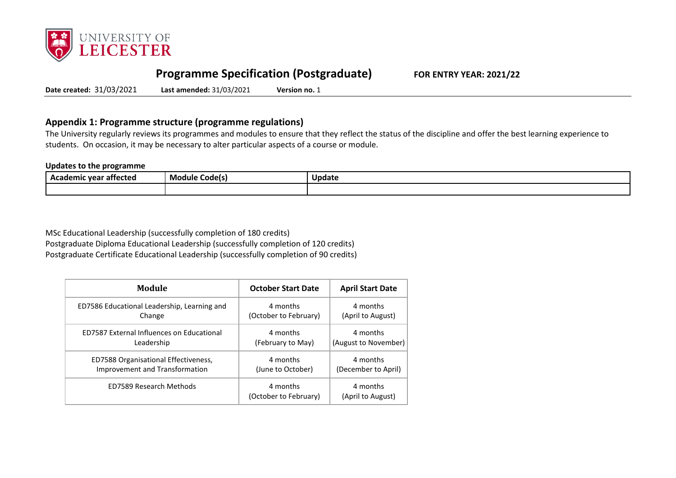

# **Programme Specification (Postgraduate) FOR ENTRY YEAR: 2021/22**

**Date created:** 31/03/2021 **Last amended:** 31/03/2021 **Version no.** 1

# **Appendix 1: Programme structure (programme regulations)**

The University regularly reviews its programmes and modules to ensure that they reflect the status of the discipline and offer the best learning experience to students. On occasion, it may be necessary to alter particular aspects of a course or module.

#### **Updates to the programme**

| --<br>Academic vear<br>attected : | Module<br>. Codels) | Update |
|-----------------------------------|---------------------|--------|
|                                   |                     |        |

MSc Educational Leadership (successfully completion of 180 credits) Postgraduate Diploma Educational Leadership (successfully completion of 120 credits) Postgraduate Certificate Educational Leadership (successfully completion of 90 credits)

| Module                                           | <b>October Start Date</b>         | <b>April Start Date</b>       |
|--------------------------------------------------|-----------------------------------|-------------------------------|
| ED7586 Educational Leadership, Learning and      | 4 months                          | 4 months                      |
| Change                                           | (October to February)             | (April to August)             |
| <b>ED7587 External Influences on Educational</b> | 4 months                          | 4 months                      |
| Leadership                                       | (February to May)                 | (August to November)          |
| ED7588 Organisational Effectiveness,             | 4 months                          | 4 months                      |
| Improvement and Transformation                   | (June to October)                 | (December to April)           |
| ED7589 Research Methods                          | 4 months<br>(October to February) | 4 months<br>(April to August) |